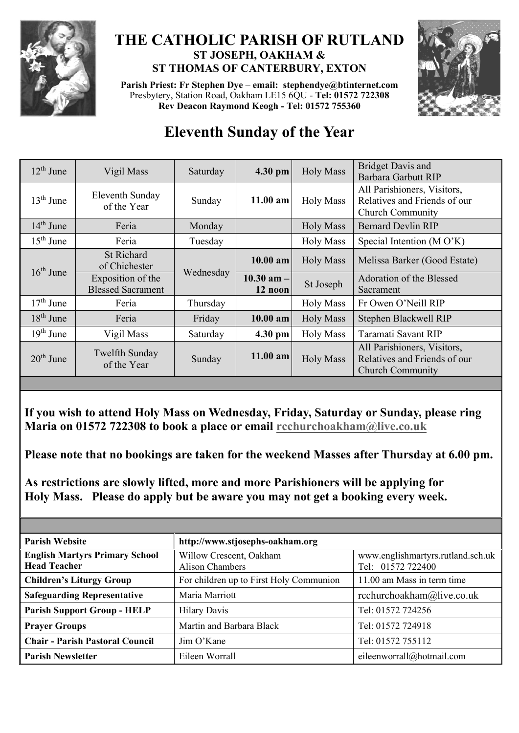

## **THE CATHOLIC PARISH OF RUTLAND ST JOSEPH, OAKHAM & ST THOMAS OF CANTERBURY, EXTON**

**Parish Priest: Fr Stephen Dye** – **[email: stephendye@btinternet.com](mailto:email:%20%20stephendye@btinternet.com)** Presbytery, Station Road, Oakham LE15 6QU - **Tel: 01572 722308 Rev Deacon Raymond Keogh - Tel: 01572 755360**



## **Eleventh Sunday of the Year**

| $12th$ June | Vigil Mass                                    | Saturday  | 4.30 pm                   | <b>Holy Mass</b> | <b>Bridget Davis and</b><br><b>Barbara Garbutt RIP</b>                                 |
|-------------|-----------------------------------------------|-----------|---------------------------|------------------|----------------------------------------------------------------------------------------|
| $13th$ June | Eleventh Sunday<br>of the Year                | Sunday    | $11.00$ am                | <b>Holy Mass</b> | All Parishioners, Visitors,<br>Relatives and Friends of our<br><b>Church Community</b> |
| $14th$ June | Feria                                         | Monday    |                           | <b>Holy Mass</b> | <b>Bernard Devlin RIP</b>                                                              |
| $15th$ June | Feria                                         | Tuesday   |                           | <b>Holy Mass</b> | Special Intention (MO'K)                                                               |
| $16th$ June | <b>St Richard</b><br>of Chichester            | Wednesday | $10.00$ am                | <b>Holy Mass</b> | Melissa Barker (Good Estate)                                                           |
|             | Exposition of the<br><b>Blessed Sacrament</b> |           | $10.30$ am $-$<br>12 noon | St Joseph        | Adoration of the Blessed<br>Sacrament                                                  |
| $17th$ June | Feria                                         | Thursday  |                           | <b>Holy Mass</b> | Fr Owen O'Neill RIP                                                                    |
| $18th$ June | Feria                                         | Friday    | $10.00$ am                | <b>Holy Mass</b> | Stephen Blackwell RIP                                                                  |
| $19th$ June | Vigil Mass                                    | Saturday  | 4.30 pm                   | <b>Holy Mass</b> | Taramati Savant RIP                                                                    |
| $20th$ June | Twelfth Sunday<br>of the Year                 | Sunday    | $11.00$ am                | <b>Holy Mass</b> | All Parishioners, Visitors,<br>Relatives and Friends of our<br><b>Church Community</b> |
|             |                                               |           |                           |                  |                                                                                        |

**If you wish to attend Holy Mass on Wednesday, Friday, Saturday or Sunday, please ring Maria on 01572 722308 to book a place or email [rcchurchoakham@live.co.uk](mailto:rcchurchoakham@live.co.uk)**

**Please note that no bookings are taken for the weekend Masses after Thursday at 6.00 pm.**

**As restrictions are slowly lifted, more and more Parishioners will be applying for Holy Mass. Please do apply but be aware you may not get a booking every week.**

| <b>Parish Website</b>                                        | http://www.stjosephs-oakham.org            |                                                        |  |  |
|--------------------------------------------------------------|--------------------------------------------|--------------------------------------------------------|--|--|
| <b>English Martyrs Primary School</b><br><b>Head Teacher</b> | Willow Crescent, Oakham<br>Alison Chambers | www.englishmartyrs.rutland.sch.uk<br>Tel: 01572 722400 |  |  |
| <b>Children's Liturgy Group</b>                              | For children up to First Holy Communion    | 11.00 am Mass in term time                             |  |  |
| <b>Safeguarding Representative</b>                           | Maria Marriott                             | rcchurchoakham@live.co.uk                              |  |  |
| <b>Parish Support Group - HELP</b>                           | <b>Hilary Davis</b>                        | Tel: 01572 724256                                      |  |  |
| <b>Prayer Groups</b>                                         | Martin and Barbara Black                   | Tel: 01572 724918                                      |  |  |
| <b>Chair - Parish Pastoral Council</b>                       | Jim O'Kane                                 | Tel: 01572 755112                                      |  |  |
| <b>Parish Newsletter</b>                                     | Eileen Worrall                             | eileenworrall@hotmail.com                              |  |  |